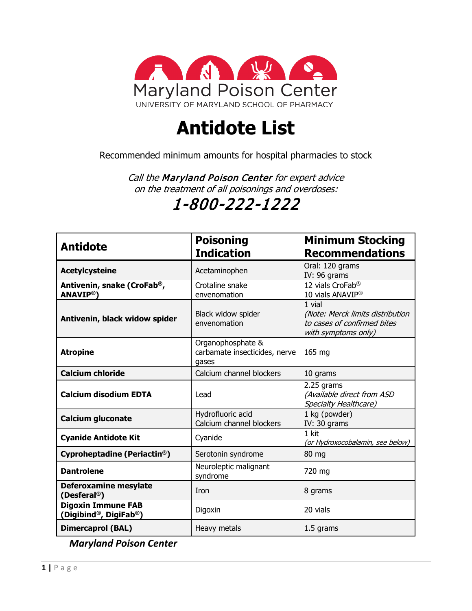

## **Antidote List**

Recommended minimum amounts for hospital pharmacies to stock

Call the Maryland Poison Center for expert advice on the treatment of all poisonings and overdoses:

## 1-800-222-1222

| <b>Antidote</b>                                            | <b>Poisoning</b><br><b>Indication</b>                       | <b>Minimum Stocking</b><br><b>Recommendations</b>                                                |
|------------------------------------------------------------|-------------------------------------------------------------|--------------------------------------------------------------------------------------------------|
| <b>Acetylcysteine</b>                                      | Acetaminophen                                               | Oral: 120 grams<br>IV: 96 grams                                                                  |
| Antivenin, snake (CroFab <sup>®</sup> ,<br><b>ANAVIP®)</b> | Crotaline snake<br>envenomation                             | 12 vials CroFab <sup>®</sup><br>10 vials ANAVIP <sup>®</sup>                                     |
| Antivenin, black widow spider                              | Black widow spider<br>envenomation                          | 1 vial<br>(Note: Merck limits distribution<br>to cases of confirmed bites<br>with symptoms only) |
| <b>Atropine</b>                                            | Organophosphate &<br>carbamate insecticides, nerve<br>gases | 165 mg                                                                                           |
| <b>Calcium chloride</b>                                    | Calcium channel blockers                                    | 10 grams                                                                                         |
| <b>Calcium disodium EDTA</b>                               | Lead                                                        | 2.25 grams<br>(Available direct from ASD<br>Specialty Healthcare)                                |
| Calcium gluconate                                          | Hydrofluoric acid<br>Calcium channel blockers               | 1 kg (powder)<br>IV: 30 grams                                                                    |
| <b>Cyanide Antidote Kit</b>                                | Cyanide                                                     | 1 kit<br>(or Hydroxocobalamin, see below)                                                        |
| Cyproheptadine (Periactin <sup>®</sup> )                   | Serotonin syndrome                                          | 80 mg                                                                                            |
| <b>Dantrolene</b>                                          | Neuroleptic malignant<br>syndrome                           | 720 mg                                                                                           |
| Deferoxamine mesylate<br>(Desferal <sup>®</sup> )          | Iron                                                        | 8 grams                                                                                          |
| <b>Digoxin Immune FAB</b><br>(Digibind®, DigiFab®)         | Digoxin                                                     | 20 vials                                                                                         |
| <b>Dimercaprol (BAL)</b>                                   | Heavy metals                                                | 1.5 grams                                                                                        |

*Maryland Poison Center*